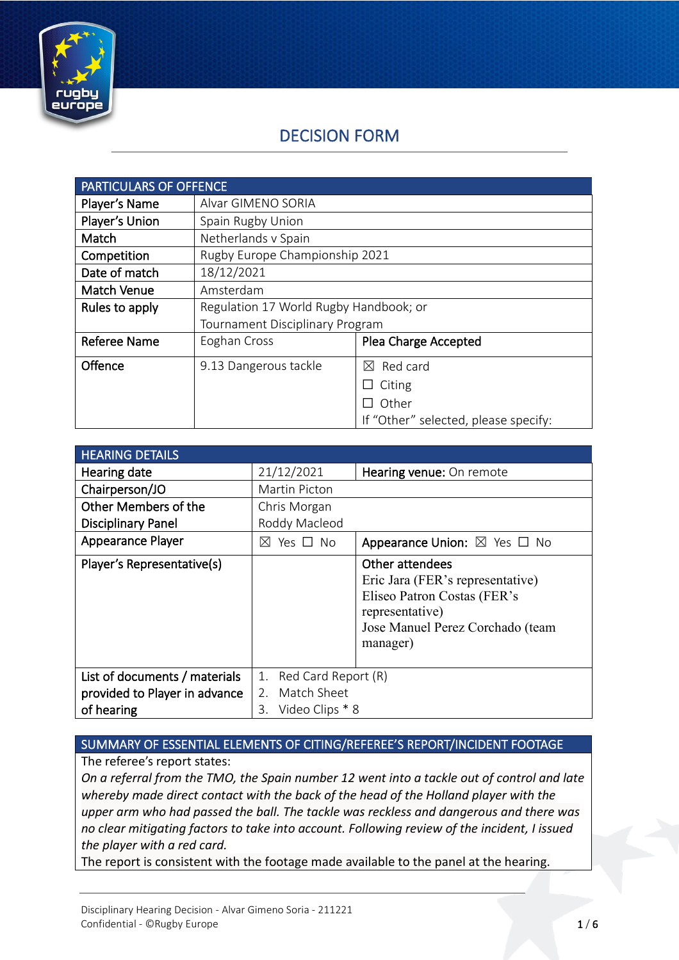

# DECISION FORM

| <b>PARTICULARS OF OFFENCE</b> |                                        |                                      |
|-------------------------------|----------------------------------------|--------------------------------------|
| Player's Name                 | Alvar GIMENO SORIA                     |                                      |
| Player's Union                | Spain Rugby Union                      |                                      |
| Match                         | Netherlands v Spain                    |                                      |
| Competition                   | Rugby Europe Championship 2021         |                                      |
| Date of match                 | 18/12/2021                             |                                      |
| <b>Match Venue</b>            | Amsterdam                              |                                      |
| Rules to apply                | Regulation 17 World Rugby Handbook; or |                                      |
|                               | <b>Tournament Disciplinary Program</b> |                                      |
| <b>Referee Name</b>           | Eoghan Cross                           | Plea Charge Accepted                 |
| Offence                       | 9.13 Dangerous tackle                  | Red card<br>$\boxtimes$              |
|                               |                                        | Citing<br>ப                          |
|                               |                                        | Other                                |
|                               |                                        | If "Other" selected, please specify: |

| <b>HEARING DETAILS</b>        |                           |                                                                                                                                                       |
|-------------------------------|---------------------------|-------------------------------------------------------------------------------------------------------------------------------------------------------|
| Hearing date                  | 21/12/2021                | Hearing venue: On remote                                                                                                                              |
| Chairperson/JO                | Martin Picton             |                                                                                                                                                       |
| Other Members of the          | Chris Morgan              |                                                                                                                                                       |
| <b>Disciplinary Panel</b>     | Roddy Macleod             |                                                                                                                                                       |
| <b>Appearance Player</b>      | Yes □ No<br>M             | Appearance Union: $\boxtimes$ Yes $\Box$ No                                                                                                           |
| Player's Representative(s)    |                           | Other attendees<br>Eric Jara (FER's representative)<br>Eliseo Patron Costas (FER's<br>representative)<br>Jose Manuel Perez Corchado (team<br>manager) |
| List of documents / materials | Red Card Report (R)<br>1. |                                                                                                                                                       |
| provided to Player in advance | 2. Match Sheet            |                                                                                                                                                       |
| of hearing                    | Video Clips * 8<br>3.     |                                                                                                                                                       |

### SUMMARY OF ESSENTIAL ELEMENTS OF CITING/REFEREE'S REPORT/INCIDENT FOOTAGE

The referee's report states:

*On a referral from the TMO, the Spain number 12 went into a tackle out of control and late whereby made direct contact with the back of the head of the Holland player with the upper arm who had passed the ball. The tackle was reckless and dangerous and there was no clear mitigating factors to take into account. Following review of the incident, I issued the player with a red card.*

The report is consistent with the footage made available to the panel at the hearing.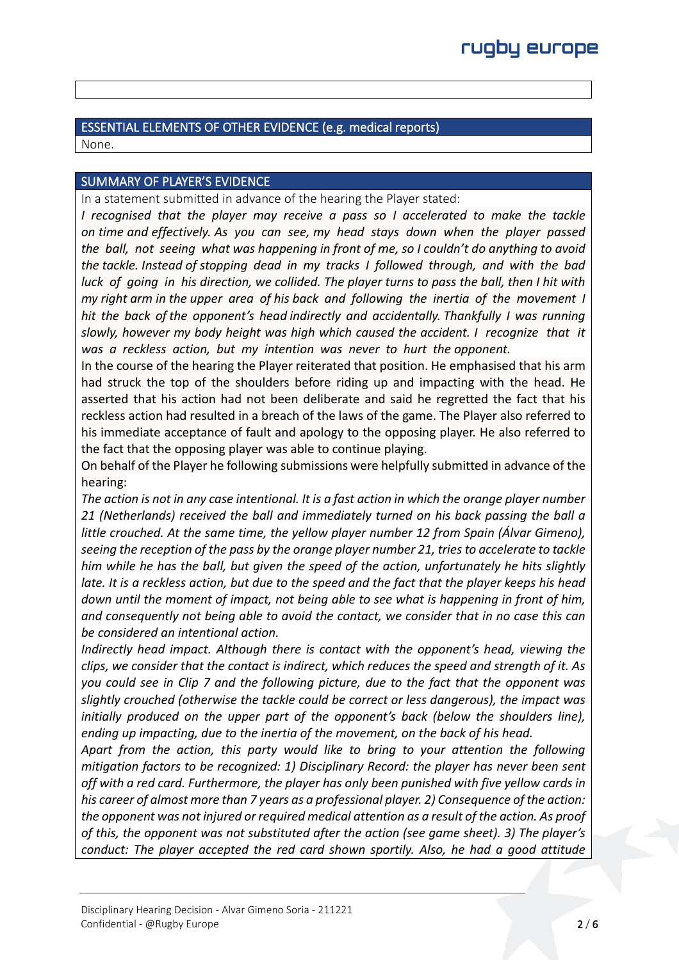# ESSENTIAL ELEMENTS OF OTHER EVIDENCE (e.g. medical reports)

None.

### SUMMARY OF PLAYER'S EVIDENCE

In a statement submitted in advance of the hearing the Player stated:

*I* recognised that the player may receive a pass so I accelerated to make the tackle *on time and effectively. As you can see, my head stays down when the player passed the ball, not seeing what was happening in front of me, so I couldn't do anything to avoid the tackle. Instead of stopping dead in my tracks I followed through, and with the bad luck of going in his direction, we collided. The player turns to pass the ball, then I hit with my right arm in the upper area of his back and following the inertia of the movement I hit the back of the opponent's head indirectly and accidentally. Thankfully I was running slowly, however my body height was high which caused the accident. I recognize that it was a reckless action, but my intention was never to hurt the opponent.*

In the course of the hearing the Player reiterated that position. He emphasised that his arm had struck the top of the shoulders before riding up and impacting with the head. He asserted that his action had not been deliberate and said he regretted the fact that his reckless action had resulted in a breach of the laws of the game. The Player also referred to his immediate acceptance of fault and apology to the opposing player. He also referred to the fact that the opposing player was able to continue playing.

On behalf of the Player he following submissions were helpfully submitted in advance of the hearing:

*The action is not in any case intentional. It is a fast action in which the orange player number 21 (Netherlands) received the ball and immediately turned on his back passing the ball a little crouched. At the same time, the yellow player number 12 from Spain (Álvar Gimeno), seeing the reception of the pass by the orange player number 21, tries to accelerate to tackle him while he has the ball, but given the speed of the action, unfortunately he hits slightly late. It is a reckless action, but due to the speed and the fact that the player keeps his head down until the moment of impact, not being able to see what is happening in front of him, and consequently not being able to avoid the contact, we consider that in no case this can be considered an intentional action.*

*Indirectly head impact. Although there is contact with the opponent's head, viewing the clips, we consider that the contact is indirect, which reduces the speed and strength of it. As you could see in Clip 7 and the following picture, due to the fact that the opponent was slightly crouched (otherwise the tackle could be correct or less dangerous), the impact was initially produced on the upper part of the opponent's back (below the shoulders line), ending up impacting, due to the inertia of the movement, on the back of his head.*

*Apart from the action, this party would like to bring to your attention the following mitigation factors to be recognized: 1) Disciplinary Record: the player has never been sent off with a red card. Furthermore, the player has only been punished with five yellow cards in his career of almost more than 7 years as a professional player. 2) Consequence of the action: the opponent was not injured or required medical attention as a result of the action. As proof of this, the opponent was not substituted after the action (see game sheet). 3) The player's conduct: The player accepted the red card shown sportily. Also, he had a good attitude*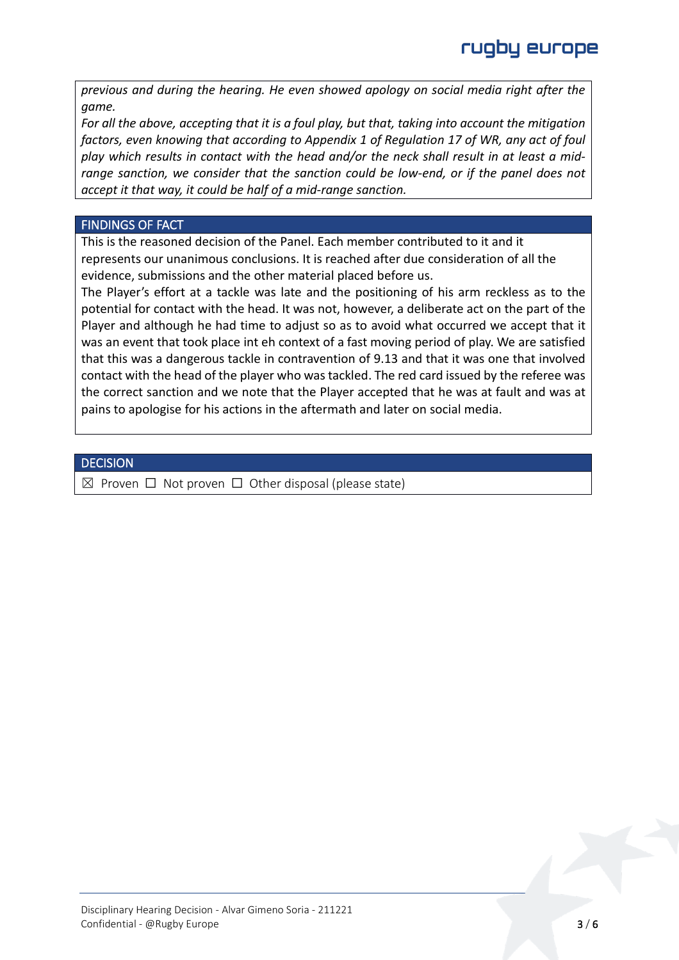*previous and during the hearing. He even showed apology on social media right after the game.*

*For all the above, accepting that it is a foul play, but that, taking into account the mitigation factors, even knowing that according to Appendix 1 of Regulation 17 of WR, any act of foul play which results in contact with the head and/or the neck shall result in at least a midrange sanction, we consider that the sanction could be low-end, or if the panel does not accept it that way, it could be half of a mid-range sanction.*

#### FINDINGS OF FACT

This is the reasoned decision of the Panel. Each member contributed to it and it represents our unanimous conclusions. It is reached after due consideration of all the evidence, submissions and the other material placed before us.

The Player's effort at a tackle was late and the positioning of his arm reckless as to the potential for contact with the head. It was not, however, a deliberate act on the part of the Player and although he had time to adjust so as to avoid what occurred we accept that it was an event that took place int eh context of a fast moving period of play. We are satisfied that this was a dangerous tackle in contravention of 9.13 and that it was one that involved contact with the head of the player who was tackled. The red card issued by the referee was the correct sanction and we note that the Player accepted that he was at fault and was at pains to apologise for his actions in the aftermath and later on social media.

#### **DECISION**

 $\boxtimes$  Proven  $\Box$  Not proven  $\Box$  Other disposal (please state)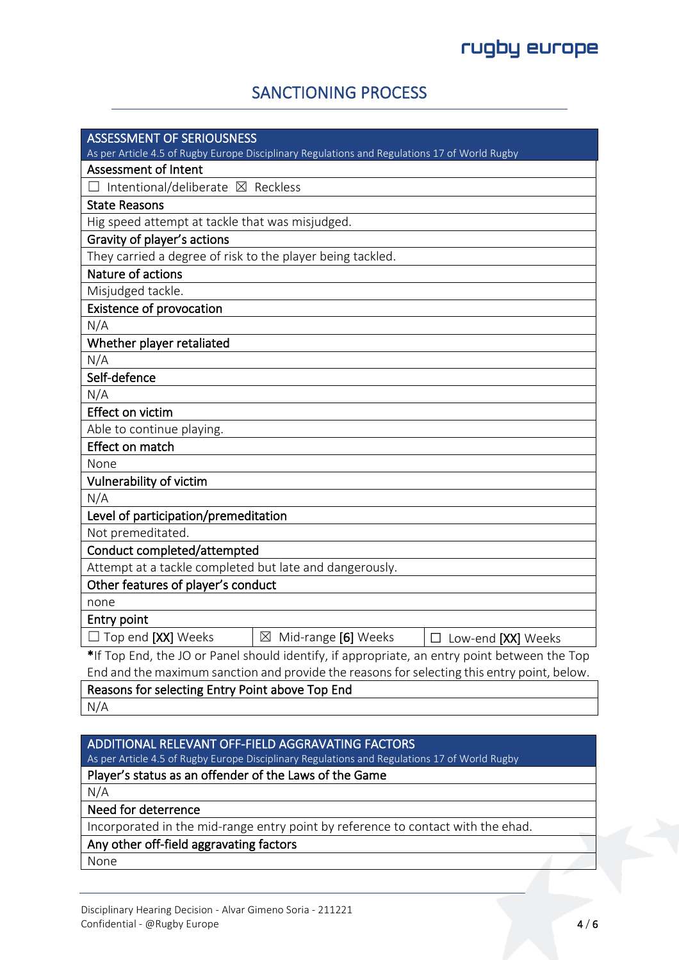# SANCTIONING PROCESS

| <b>ASSESSMENT OF SERIOUSNESS</b>                                                              |  |  |  |  |
|-----------------------------------------------------------------------------------------------|--|--|--|--|
| As per Article 4.5 of Rugby Europe Disciplinary Regulations and Regulations 17 of World Rugby |  |  |  |  |
| <b>Assessment of Intent</b>                                                                   |  |  |  |  |
| Intentional/deliberate ⊠ Reckless                                                             |  |  |  |  |
| <b>State Reasons</b>                                                                          |  |  |  |  |
| Hig speed attempt at tackle that was misjudged.                                               |  |  |  |  |
| Gravity of player's actions                                                                   |  |  |  |  |
| They carried a degree of risk to the player being tackled.                                    |  |  |  |  |
| Nature of actions                                                                             |  |  |  |  |
| Misjudged tackle.                                                                             |  |  |  |  |
| <b>Existence of provocation</b>                                                               |  |  |  |  |
| N/A                                                                                           |  |  |  |  |
| Whether player retaliated                                                                     |  |  |  |  |
| N/A                                                                                           |  |  |  |  |
| Self-defence                                                                                  |  |  |  |  |
| N/A                                                                                           |  |  |  |  |
| Effect on victim                                                                              |  |  |  |  |
| Able to continue playing.                                                                     |  |  |  |  |
| Effect on match                                                                               |  |  |  |  |
| None                                                                                          |  |  |  |  |
| Vulnerability of victim                                                                       |  |  |  |  |
| N/A                                                                                           |  |  |  |  |
| Level of participation/premeditation                                                          |  |  |  |  |
| Not premeditated.                                                                             |  |  |  |  |
| Conduct completed/attempted                                                                   |  |  |  |  |
| Attempt at a tackle completed but late and dangerously.                                       |  |  |  |  |
| Other features of player's conduct                                                            |  |  |  |  |
| none                                                                                          |  |  |  |  |
| Entry point                                                                                   |  |  |  |  |
| $\Box$ Top end [XX] Weeks<br>$\boxtimes$ Mid-range [6] Weeks<br>$\Box$ Low-end [XX] Weeks     |  |  |  |  |
| *If Top End, the JO or Panel should identify, if appropriate, an entry point between the Top  |  |  |  |  |
| End and the maximum sanction and provide the reasons for selecting this entry point, below.   |  |  |  |  |

Reasons for selecting Entry Point above Top End N/A

### ADDITIONAL RELEVANT OFF-FIELD AGGRAVATING FACTORS

As per Article 4.5 of Rugby Europe Disciplinary Regulations and Regulations 17 of World Rugby

# Player's status as an offender of the Laws of the Game

N/A

Need for deterrence

Incorporated in the mid-range entry point by reference to contact with the ehad.

# Any other off-field aggravating factors

None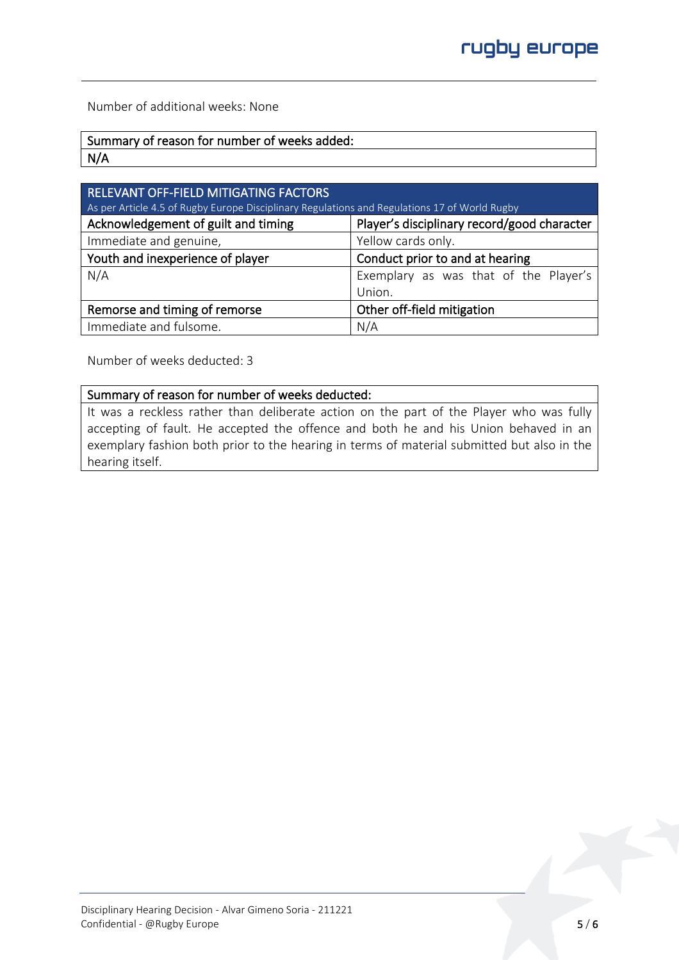Number of additional weeks: None

| Summary of reason for number of weeks added: |
|----------------------------------------------|
| N/A                                          |

| RELEVANT OFF-FIELD MITIGATING FACTORS                                                         |                                             |  |
|-----------------------------------------------------------------------------------------------|---------------------------------------------|--|
| As per Article 4.5 of Rugby Europe Disciplinary Regulations and Regulations 17 of World Rugby |                                             |  |
| Acknowledgement of guilt and timing                                                           | Player's disciplinary record/good character |  |
| Immediate and genuine,                                                                        | Yellow cards only.                          |  |
| Youth and inexperience of player                                                              | Conduct prior to and at hearing             |  |
| N/A                                                                                           | Exemplary as was that of the Player's       |  |
|                                                                                               | Union.                                      |  |
| Remorse and timing of remorse                                                                 | Other off-field mitigation                  |  |
| Immediate and fulsome.                                                                        | N/A                                         |  |

Number of weeks deducted: 3

#### Summary of reason for number of weeks deducted:

It was a reckless rather than deliberate action on the part of the Player who was fully accepting of fault. He accepted the offence and both he and his Union behaved in an exemplary fashion both prior to the hearing in terms of material submitted but also in the hearing itself.